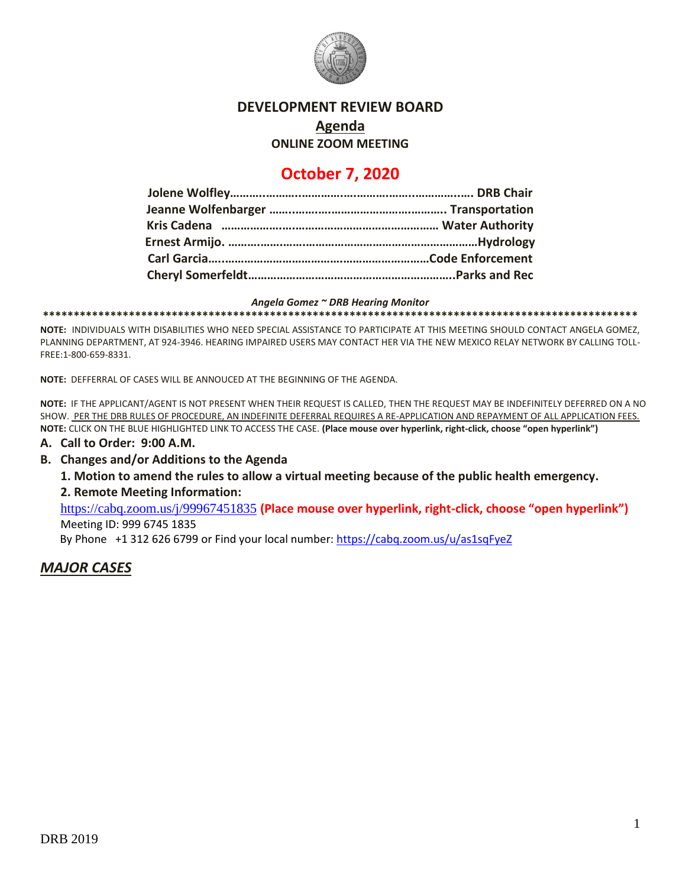

#### **DEVELOPMENT REVIEW BOARD**

**Agenda ONLINE ZOOM MEETING**

# **October 7, 2020**

#### *Angela Gomez ~ DRB Hearing Monitor*

**\*\*\*\*\*\*\*\*\*\*\*\*\*\*\*\*\*\*\*\*\*\*\*\*\*\*\*\*\*\*\*\*\*\*\*\*\*\*\*\*\*\*\*\*\*\*\*\*\*\*\*\*\*\*\*\*\*\*\*\*\*\*\*\*\*\*\*\*\*\*\*\*\*\*\*\*\*\*\*\*\*\*\*\*\*\*\*\*\*\*\*\*\*\*\*\*\***

**NOTE:** INDIVIDUALS WITH DISABILITIES WHO NEED SPECIAL ASSISTANCE TO PARTICIPATE AT THIS MEETING SHOULD CONTACT ANGELA GOMEZ, PLANNING DEPARTMENT, AT 924-3946. HEARING IMPAIRED USERS MAY CONTACT HER VIA THE NEW MEXICO RELAY NETWORK BY CALLING TOLL-FREE:1-800-659-8331.

**NOTE:** DEFFERRAL OF CASES WILL BE ANNOUCED AT THE BEGINNING OF THE AGENDA.

**NOTE:** IF THE APPLICANT/AGENT IS NOT PRESENT WHEN THEIR REQUEST IS CALLED, THEN THE REQUEST MAY BE INDEFINITELY DEFERRED ON A NO SHOW. PER THE DRB RULES OF PROCEDURE, AN INDEFINITE DEFERRAL REQUIRES A RE-APPLICATION AND REPAYMENT OF ALL APPLICATION FEES. **NOTE:** CLICK ON THE BLUE HIGHLIGHTED LINK TO ACCESS THE CASE. **(Place mouse over hyperlink, right-click, choose "open hyperlink")**

#### **A. Call to Order: 9:00 A.M.**

**B. Changes and/or Additions to the Agenda**

**1. Motion to amend the rules to allow a virtual meeting because of the public health emergency.** 

#### **2. Remote Meeting Information:**

<https://cabq.zoom.us/j/99967451835> **(Place mouse over hyperlink, right-click, choose "open hyperlink")** Meeting ID: 999 6745 1835

By Phone +1 312 626 6799 or Find your local number:<https://cabq.zoom.us/u/as1sqFyeZ>

## *MAJOR CASES*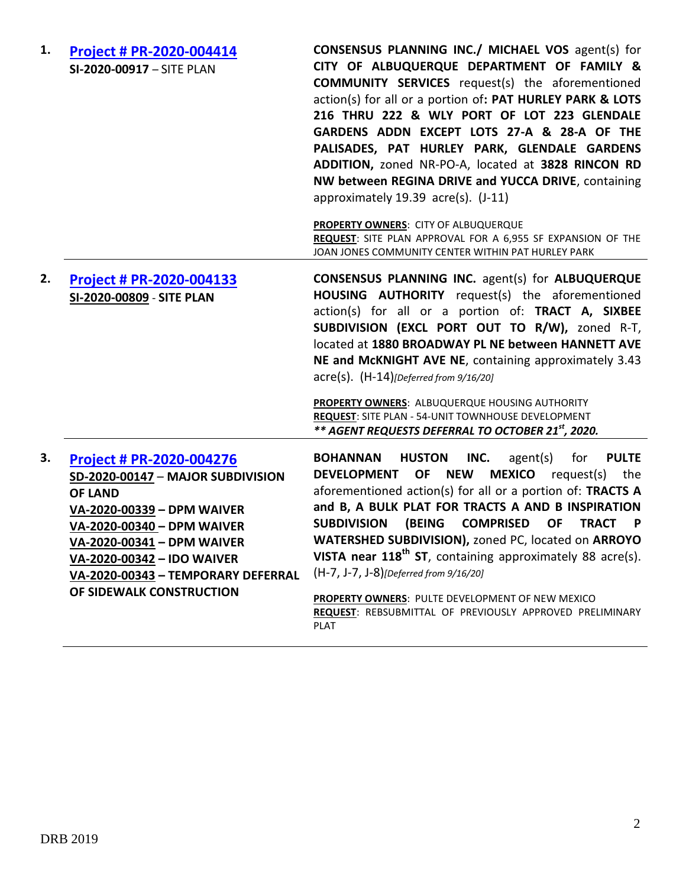| 1. | <b>Project # PR-2020-004414</b><br>SI-2020-00917 - SITE PLAN                                                                                                                                                                                                              | CONSENSUS PLANNING INC./ MICHAEL VOS agent(s) for<br>CITY OF ALBUQUERQUE DEPARTMENT OF FAMILY &<br><b>COMMUNITY SERVICES</b> request(s) the aforementioned<br>action(s) for all or a portion of: PAT HURLEY PARK & LOTS<br>216 THRU 222 & WLY PORT OF LOT 223 GLENDALE<br>GARDENS ADDN EXCEPT LOTS 27-A & 28-A OF THE<br>PALISADES, PAT HURLEY PARK, GLENDALE GARDENS<br>ADDITION, zoned NR-PO-A, located at 3828 RINCON RD<br>NW between REGINA DRIVE and YUCCA DRIVE, containing<br>approximately 19.39 acre(s). (J-11)                                                                                                                                                                       |
|----|---------------------------------------------------------------------------------------------------------------------------------------------------------------------------------------------------------------------------------------------------------------------------|-------------------------------------------------------------------------------------------------------------------------------------------------------------------------------------------------------------------------------------------------------------------------------------------------------------------------------------------------------------------------------------------------------------------------------------------------------------------------------------------------------------------------------------------------------------------------------------------------------------------------------------------------------------------------------------------------|
|    |                                                                                                                                                                                                                                                                           | PROPERTY OWNERS: CITY OF ALBUQUERQUE<br>REQUEST: SITE PLAN APPROVAL FOR A 6,955 SF EXPANSION OF THE<br>JOAN JONES COMMUNITY CENTER WITHIN PAT HURLEY PARK                                                                                                                                                                                                                                                                                                                                                                                                                                                                                                                                       |
| 2. | <b>Project # PR-2020-004133</b><br>SI-2020-00809 - SITE PLAN                                                                                                                                                                                                              | <b>CONSENSUS PLANNING INC.</b> agent(s) for <b>ALBUQUERQUE</b><br>HOUSING AUTHORITY request(s) the aforementioned<br>action(s) for all or a portion of: TRACT A, SIXBEE<br>SUBDIVISION (EXCL PORT OUT TO R/W), zoned R-T,<br>located at 1880 BROADWAY PL NE between HANNETT AVE<br>NE and McKNIGHT AVE NE, containing approximately 3.43<br>$\text{acre}(s)$ . $(H-14)$ [Deferred from 9/16/20]<br>PROPERTY OWNERS: ALBUQUERQUE HOUSING AUTHORITY<br><b>REQUEST: SITE PLAN - 54-UNIT TOWNHOUSE DEVELOPMENT</b><br>** AGENT REQUESTS DEFERRAL TO OCTOBER 21 <sup>st</sup> , 2020.                                                                                                                |
| З. | Project # PR-2020-004276<br>SD-2020-00147 - MAJOR SUBDIVISION<br><b>OF LAND</b><br>VA-2020-00339 - DPM WAIVER<br>VA-2020-00340 - DPM WAIVER<br>VA-2020-00341 - DPM WAIVER<br>VA-2020-00342 - IDO WAIVER<br>VA-2020-00343 - TEMPORARY DEFERRAL<br>OF SIDEWALK CONSTRUCTION | <b>PULTE</b><br><b>BOHANNAN</b><br><b>HUSTON</b><br>INC.<br>for<br>agent(s)<br><b>MEXICO</b><br><b>DEVELOPMENT</b><br><b>OF</b><br><b>NEW</b><br>request(s)<br>the<br>aforementioned action(s) for all or a portion of: TRACTS A<br>and B, A BULK PLAT FOR TRACTS A AND B INSPIRATION<br>(BEING<br><b>COMPRISED</b><br><b>OF</b><br><b>SUBDIVISION</b><br><b>TRACT</b><br>$\mathsf{P}$<br>WATERSHED SUBDIVISION), zoned PC, located on ARROYO<br>VISTA near 118 <sup>th</sup> ST, containing approximately 88 acre(s).<br>(H-7, J-7, J-8)[Deferred from 9/16/20]<br>PROPERTY OWNERS: PULTE DEVELOPMENT OF NEW MEXICO<br>REQUEST: REBSUBMITTAL OF PREVIOUSLY APPROVED PRELIMINARY<br><b>PLAT</b> |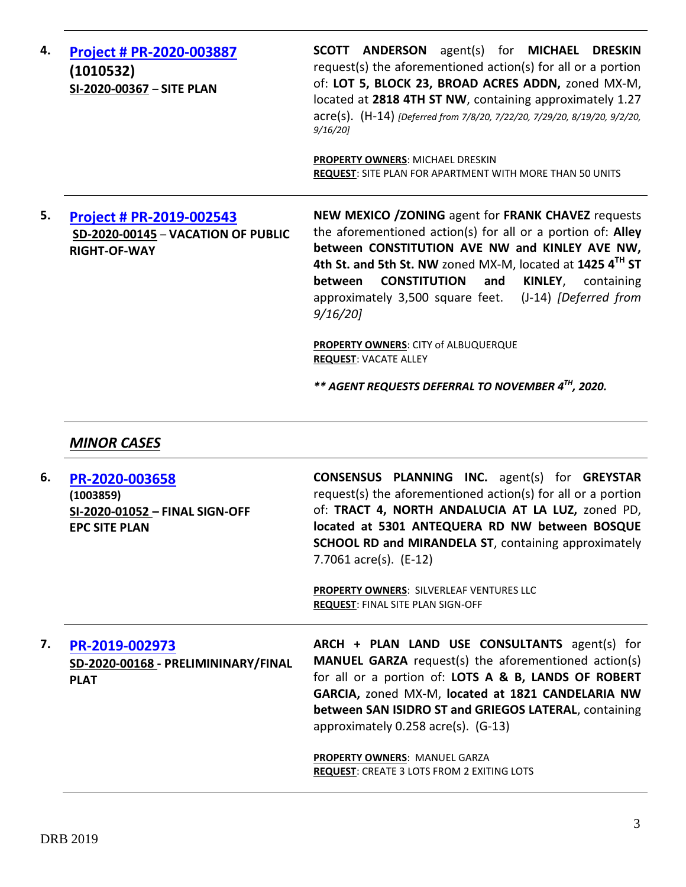| 4. | Project # PR-2020-003887<br>(1010532)<br>SI-2020-00367 - SITE PLAN                    | <b>ANDERSON</b> agent(s) for <b>MICHAEL DRESKIN</b><br><b>SCOTT</b><br>request(s) the aforementioned action(s) for all or a portion<br>of: LOT 5, BLOCK 23, BROAD ACRES ADDN, zoned MX-M,<br>located at 2818 4TH ST NW, containing approximately 1.27<br>acre(s). (H-14) [Deferred from 7/8/20, 7/22/20, 7/29/20, 8/19/20, 9/2/20,<br>9/16/20<br><b>PROPERTY OWNERS: MICHAEL DRESKIN</b><br>REQUEST: SITE PLAN FOR APARTMENT WITH MORE THAN 50 UNITS                                                                      |
|----|---------------------------------------------------------------------------------------|---------------------------------------------------------------------------------------------------------------------------------------------------------------------------------------------------------------------------------------------------------------------------------------------------------------------------------------------------------------------------------------------------------------------------------------------------------------------------------------------------------------------------|
| 5. | Project # PR-2019-002543<br>SD-2020-00145 - VACATION OF PUBLIC<br><b>RIGHT-OF-WAY</b> | <b>NEW MEXICO / ZONING agent for FRANK CHAVEZ requests</b><br>the aforementioned $action(s)$ for all or a portion of: Alley<br>between CONSTITUTION AVE NW and KINLEY AVE NW,<br>4th St. and 5th St. NW zoned MX-M, located at 1425 4TH ST<br><b>CONSTITUTION</b><br>between<br>and<br><b>KINLEY, containing</b><br>approximately 3,500 square feet. (J-14) [Deferred from<br>9/16/20<br><b>PROPERTY OWNERS: CITY of ALBUQUERQUE</b><br><b>REQUEST: VACATE ALLEY</b><br>** AGENT REQUESTS DEFERRAL TO NOVEMBER 4TH, 2020. |

## *MINOR CASES*

| 6. | PR-2020-003658<br>(1003859)<br>SI-2020-01052 - FINAL SIGN-OFF<br><b>EPC SITE PLAN</b> | <b>CONSENSUS PLANNING INC.</b> agent(s) for <b>GREYSTAR</b><br>request(s) the aforementioned action(s) for all or a portion<br>of: TRACT 4, NORTH ANDALUCIA AT LA LUZ, zoned PD,<br>located at 5301 ANTEQUERA RD NW between BOSQUE<br><b>SCHOOL RD and MIRANDELA ST, containing approximately</b><br>7.7061 $\arccos 1$ (E-12) |
|----|---------------------------------------------------------------------------------------|--------------------------------------------------------------------------------------------------------------------------------------------------------------------------------------------------------------------------------------------------------------------------------------------------------------------------------|
|    |                                                                                       | <b>PROPERTY OWNERS: SILVERLEAF VENTURES LLC</b><br><b>REQUEST: FINAL SITE PLAN SIGN-OFF</b>                                                                                                                                                                                                                                    |
| 7. | PR-2019-002973<br>SD-2020-00168 - PRELIMININARY/FINAL<br><b>PLAT</b>                  | ARCH + PLAN LAND USE CONSULTANTS agent(s) for<br><b>MANUEL GARZA</b> request(s) the aforementioned action(s)<br>for all or a portion of: LOTS A & B, LANDS OF ROBERT<br>GARCIA, zoned MX-M, located at 1821 CANDELARIA NW<br>between SAN ISIDRO ST and GRIEGOS LATERAL, containing<br>approximately 0.258 acre(s). (G-13)      |
|    |                                                                                       | <b>PROPERTY OWNERS: MANUEL GARZA</b><br><b>REQUEST: CREATE 3 LOTS FROM 2 EXITING LOTS</b>                                                                                                                                                                                                                                      |